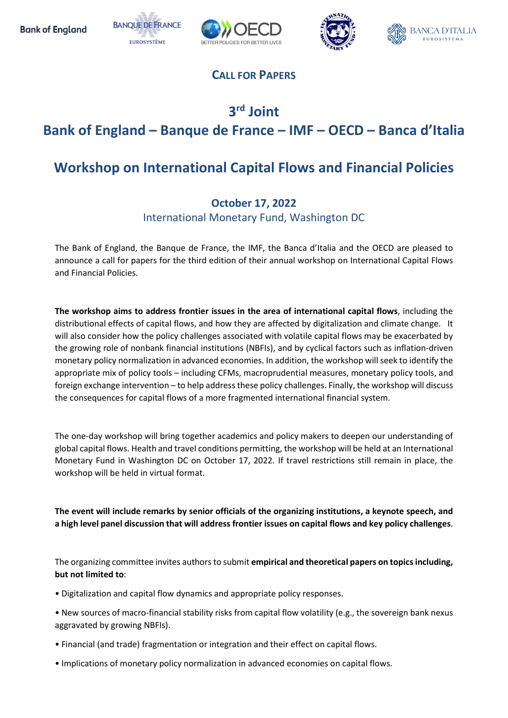







### CALL FOR PAPERS

## 3 rd Joint Bank of England – Banque de France – IMF – OECD – Banca d'Italia

# Workshop on International Capital Flows and Financial Policies

#### October 17, 2022

International Monetary Fund, Washington DC

The Bank of England, the Banque de France, the IMF, the Banca d'Italia and the OECD are pleased to announce a call for papers for the third edition of their annual workshop on International Capital Flows and Financial Policies.

The workshop aims to address frontier issues in the area of international capital flows, including the distributional effects of capital flows, and how they are affected by digitalization and climate change. It will also consider how the policy challenges associated with volatile capital flows may be exacerbated by the growing role of nonbank financial institutions (NBFIs), and by cyclical factors such as inflation-driven monetary policy normalization in advanced economies. In addition, the workshop will seek to identify the appropriate mix of policy tools – including CFMs, macroprudential measures, monetary policy tools, and foreign exchange intervention – to help address these policy challenges. Finally, the workshop will discuss the consequences for capital flows of a more fragmented international financial system.

The one-day workshop will bring together academics and policy makers to deepen our understanding of global capital flows. Health and travel conditions permitting, the workshop will be held at an International Monetary Fund in Washington DC on October 17, 2022. If travel restrictions still remain in place, the workshop will be held in virtual format.

The event will include remarks by senior officials of the organizing institutions, a keynote speech, and a high level panel discussion that will address frontier issues on capital flows and key policy challenges.

The organizing committee invites authors to submit empirical and theoretical papers on topics including, but not limited to:

- Digitalization and capital flow dynamics and appropriate policy responses.
- New sources of macro-financial stability risks from capital flow volatility (e.g., the sovereign bank nexus aggravated by growing NBFIs).
- Financial (and trade) fragmentation or integration and their effect on capital flows.
- Implications of monetary policy normalization in advanced economies on capital flows.